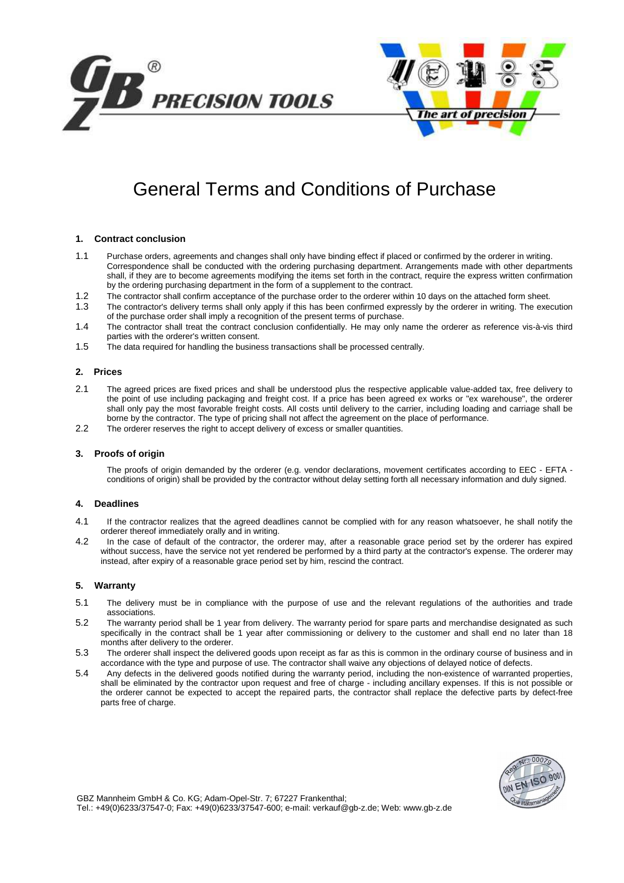



# General Terms and Conditions of Purchase

# **1. Contract conclusion**

- 1.1 Purchase orders, agreements and changes shall only have binding effect if placed or confirmed by the orderer in writing. Correspondence shall be conducted with the ordering purchasing department. Arrangements made with other departments shall, if they are to become agreements modifying the items set forth in the contract, require the express written confirmation by the ordering purchasing department in the form of a supplement to the contract.
- 1.2 The contractor shall confirm acceptance of the purchase order to the orderer within 10 days on the attached form sheet.
- 1.3 The contractor's delivery terms shall only apply if this has been confirmed expressly by the orderer in writing. The execution of the purchase order shall imply a recognition of the present terms of purchase.
- 1.4 The contractor shall treat the contract conclusion confidentially. He may only name the orderer as reference vis-à-vis third parties with the orderer's written consent.
- 1.5 The data required for handling the business transactions shall be processed centrally.

#### **2. Prices**

- 2.1 The agreed prices are fixed prices and shall be understood plus the respective applicable value-added tax, free delivery to the point of use including packaging and freight cost. If a price has been agreed ex works or "ex warehouse", the orderer shall only pay the most favorable freight costs. All costs until delivery to the carrier, including loading and carriage shall be borne by the contractor. The type of pricing shall not affect the agreement on the place of performance.
- 2.2 The orderer reserves the right to accept delivery of excess or smaller quantities.

#### **3. Proofs of origin**

The proofs of origin demanded by the orderer (e.g. vendor declarations, movement certificates according to EEC - EFTA conditions of origin) shall be provided by the contractor without delay setting forth all necessary information and duly signed.

# **4. Deadlines**

- 4.1 If the contractor realizes that the agreed deadlines cannot be complied with for any reason whatsoever, he shall notify the orderer thereof immediately orally and in writing.
- 4.2 In the case of default of the contractor, the orderer may, after a reasonable grace period set by the orderer has expired without success, have the service not yet rendered be performed by a third party at the contractor's expense. The orderer may instead, after expiry of a reasonable grace period set by him, rescind the contract.

# **5. Warranty**

- 5.1 The delivery must be in compliance with the purpose of use and the relevant regulations of the authorities and trade associations.
- 5.2 The warranty period shall be 1 year from delivery. The warranty period for spare parts and merchandise designated as such specifically in the contract shall be 1 year after commissioning or delivery to the customer and shall end no later than 18 months after delivery to the orderer.
- 5.3 The orderer shall inspect the delivered goods upon receipt as far as this is common in the ordinary course of business and in accordance with the type and purpose of use. The contractor shall waive any objections of delayed notice of defects.
- 5.4 Any defects in the delivered goods notified during the warranty period, including the non-existence of warranted properties, shall be eliminated by the contractor upon request and free of charge - including ancillary expenses. If this is not possible or the orderer cannot be expected to accept the repaired parts, the contractor shall replace the defective parts by defect-free parts free of charge.



GBZ Mannheim GmbH & Co. KG; Adam-Opel-Str. 7; 67227 Frankenthal; Tel.: +49(0)6233/37547-0; Fax: +49(0)6233/37547-600; e-mail: verkauf@gb-z.de; Web: www.gb-z.de